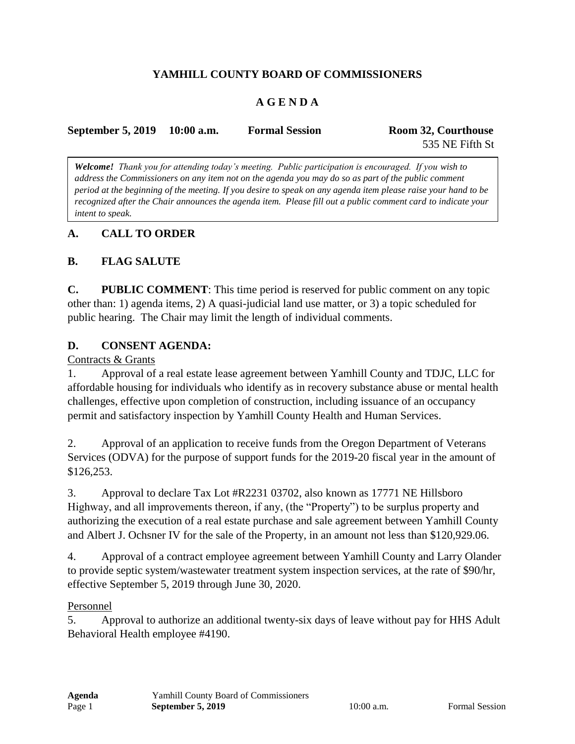# **YAMHILL COUNTY BOARD OF COMMISSIONERS**

# **A G E N D A**

| September 5, 2019 10:00 a.m. | <b>Formal Session</b> | Room 32, Courthouse |
|------------------------------|-----------------------|---------------------|
|                              |                       | 535 NE Fifth St     |

*Welcome! Thank you for attending today's meeting. Public participation is encouraged. If you wish to address the Commissioners on any item not on the agenda you may do so as part of the public comment period at the beginning of the meeting. If you desire to speak on any agenda item please raise your hand to be recognized after the Chair announces the agenda item. Please fill out a public comment card to indicate your intent to speak.*

# **A. CALL TO ORDER**

# **B. FLAG SALUTE**

**C. PUBLIC COMMENT**: This time period is reserved for public comment on any topic other than: 1) agenda items, 2) A quasi-judicial land use matter, or 3) a topic scheduled for public hearing. The Chair may limit the length of individual comments.

## **D. CONSENT AGENDA:**

#### Contracts & Grants

1. Approval of a real estate lease agreement between Yamhill County and TDJC, LLC for affordable housing for individuals who identify as in recovery substance abuse or mental health challenges, effective upon completion of construction, including issuance of an occupancy permit and satisfactory inspection by Yamhill County Health and Human Services.

2. Approval of an application to receive funds from the Oregon Department of Veterans Services (ODVA) for the purpose of support funds for the 2019-20 fiscal year in the amount of \$126,253.

3. Approval to declare Tax Lot #R2231 03702, also known as 17771 NE Hillsboro Highway, and all improvements thereon, if any, (the "Property") to be surplus property and authorizing the execution of a real estate purchase and sale agreement between Yamhill County and Albert J. Ochsner IV for the sale of the Property, in an amount not less than \$120,929.06.

4. Approval of a contract employee agreement between Yamhill County and Larry Olander to provide septic system/wastewater treatment system inspection services, at the rate of \$90/hr, effective September 5, 2019 through June 30, 2020.

#### Personnel

5. Approval to authorize an additional twenty-six days of leave without pay for HHS Adult Behavioral Health employee #4190.